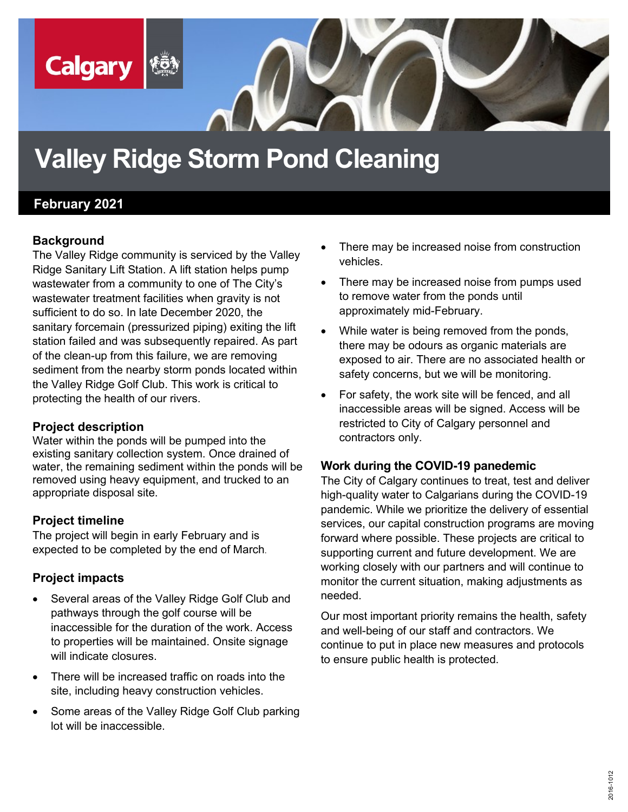

# **Valley Ridge Storm Pond Cleaning**

# **February 2021**

### **Background**

The Valley Ridge community is serviced by the Valley Ridge Sanitary Lift Station. A lift station helps pump wastewater from a community to one of The City's wastewater treatment facilities when gravity is not sufficient to do so. In late December 2020, the sanitary forcemain (pressurized piping) exiting the lift station failed and was subsequently repaired. As part of the clean-up from this failure, we are removing sediment from the nearby storm ponds located within the Valley Ridge Golf Club. This work is critical to protecting the health of our rivers.

#### **Project description**

Water within the ponds will be pumped into the existing sanitary collection system. Once drained of water, the remaining sediment within the ponds will be removed using heavy equipment, and trucked to an appropriate disposal site.

### **Project timeline**

The project will begin in early February and is expected to be completed by the end of March.

### **Project impacts**

- Several areas of the Valley Ridge Golf Club and pathways through the golf course will be inaccessible for the duration of the work. Access to properties will be maintained. Onsite signage will indicate closures.
- There will be increased traffic on roads into the site, including heavy construction vehicles.
- Some areas of the Valley Ridge Golf Club parking lot will be inaccessible.
- There may be increased noise from construction vehicles.
- There may be increased noise from pumps used to remove water from the ponds until approximately mid-February.
- While water is being removed from the ponds, there may be odours as organic materials are exposed to air. There are no associated health or safety concerns, but we will be monitoring.
- For safety, the work site will be fenced, and all inaccessible areas will be signed. Access will be restricted to City of Calgary personnel and contractors only.

#### **Work during the COVID-19 panedemic**

The City of Calgary continues to treat, test and deliver high-quality water to Calgarians during the COVID-19 pandemic. While we prioritize the delivery of essential services, our capital construction programs are moving forward where possible. These projects are critical to supporting current and future development. We are working closely with our partners and will continue to monitor the current situation, making adjustments as needed.

Our most important priority remains the health, safety and well-being of our staff and contractors. We continue to put in place new measures and protocols to ensure public health is protected.